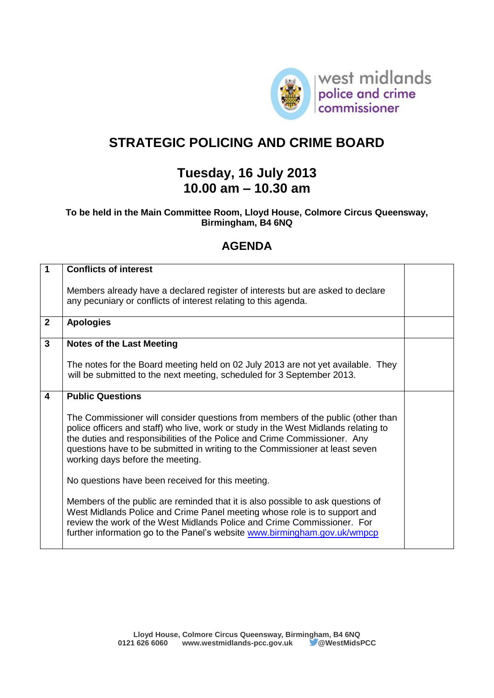

## **STRATEGIC POLICING AND CRIME BOARD**

## **Tuesday, 16 July 2013 10.00 am – 10.30 am**

## **To be held in the Main Committee Room, Lloyd House, Colmore Circus Queensway, Birmingham, B4 6NQ**

## **AGENDA**

| 1                       | <b>Conflicts of interest</b>                                                                                                                                                                                                                                                                                                                                            |  |
|-------------------------|-------------------------------------------------------------------------------------------------------------------------------------------------------------------------------------------------------------------------------------------------------------------------------------------------------------------------------------------------------------------------|--|
|                         | Members already have a declared register of interests but are asked to declare<br>any pecuniary or conflicts of interest relating to this agenda.                                                                                                                                                                                                                       |  |
| $\overline{2}$          | <b>Apologies</b>                                                                                                                                                                                                                                                                                                                                                        |  |
| $\mathbf{3}$            | <b>Notes of the Last Meeting</b>                                                                                                                                                                                                                                                                                                                                        |  |
|                         | The notes for the Board meeting held on 02 July 2013 are not yet available. They<br>will be submitted to the next meeting, scheduled for 3 September 2013.                                                                                                                                                                                                              |  |
| $\overline{\mathbf{4}}$ | <b>Public Questions</b>                                                                                                                                                                                                                                                                                                                                                 |  |
|                         | The Commissioner will consider questions from members of the public (other than<br>police officers and staff) who live, work or study in the West Midlands relating to<br>the duties and responsibilities of the Police and Crime Commissioner. Any<br>questions have to be submitted in writing to the Commissioner at least seven<br>working days before the meeting. |  |
|                         | No questions have been received for this meeting.                                                                                                                                                                                                                                                                                                                       |  |
|                         | Members of the public are reminded that it is also possible to ask questions of<br>West Midlands Police and Crime Panel meeting whose role is to support and<br>review the work of the West Midlands Police and Crime Commissioner. For<br>further information go to the Panel's website www.birmingham.gov.uk/wmpcp                                                    |  |